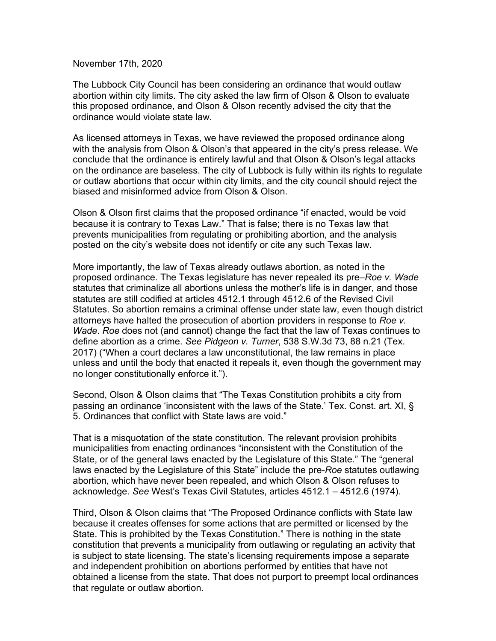November 17th, 2020

The Lubbock City Council has been considering an ordinance that would outlaw abortion within city limits. The city asked the law firm of Olson & Olson to evaluate this proposed ordinance, and Olson & Olson recently advised the city that the ordinance would violate state law.

As licensed attorneys in Texas, we have reviewed the proposed ordinance along with the analysis from Olson & Olson's that appeared in the city's press release. We conclude that the ordinance is entirely lawful and that Olson & Olson's legal attacks on the ordinance are baseless. The city of Lubbock is fully within its rights to regulate or outlaw abortions that occur within city limits, and the city council should reject the biased and misinformed advice from Olson & Olson.

Olson & Olson first claims that the proposed ordinance "if enacted, would be void because it is contrary to Texas Law." That is false; there is no Texas law that prevents municipalities from regulating or prohibiting abortion, and the analysis posted on the city's website does not identify or cite any such Texas law.

More importantly, the law of Texas already outlaws abortion, as noted in the proposed ordinance. The Texas legislature has never repealed its pre–*Roe v. Wade* statutes that criminalize all abortions unless the mother's life is in danger, and those statutes are still codified at articles 4512.1 through 4512.6 of the Revised Civil Statutes. So abortion remains a criminal offense under state law, even though district attorneys have halted the prosecution of abortion providers in response to *Roe v. Wade*. *Roe* does not (and cannot) change the fact that the law of Texas continues to define abortion as a crime. *See Pidgeon v. Turner*, 538 S.W.3d 73, 88 n.21 (Tex. 2017) ("When a court declares a law unconstitutional, the law remains in place unless and until the body that enacted it repeals it, even though the government may no longer constitutionally enforce it.").

Second, Olson & Olson claims that "The Texas Constitution prohibits a city from passing an ordinance 'inconsistent with the laws of the State.' Tex. Const. art. XI, § 5. Ordinances that conflict with State laws are void."

That is a misquotation of the state constitution. The relevant provision prohibits municipalities from enacting ordinances "inconsistent with the Constitution of the State, or of the general laws enacted by the Legislature of this State." The "general laws enacted by the Legislature of this State" include the pre-*Roe* statutes outlawing abortion, which have never been repealed, and which Olson & Olson refuses to acknowledge. *See* West's Texas Civil Statutes, articles 4512.1 – 4512.6 (1974).

Third, Olson & Olson claims that "The Proposed Ordinance conflicts with State law because it creates offenses for some actions that are permitted or licensed by the State. This is prohibited by the Texas Constitution." There is nothing in the state constitution that prevents a municipality from outlawing or regulating an activity that is subject to state licensing. The state's licensing requirements impose a separate and independent prohibition on abortions performed by entities that have not obtained a license from the state. That does not purport to preempt local ordinances that regulate or outlaw abortion.